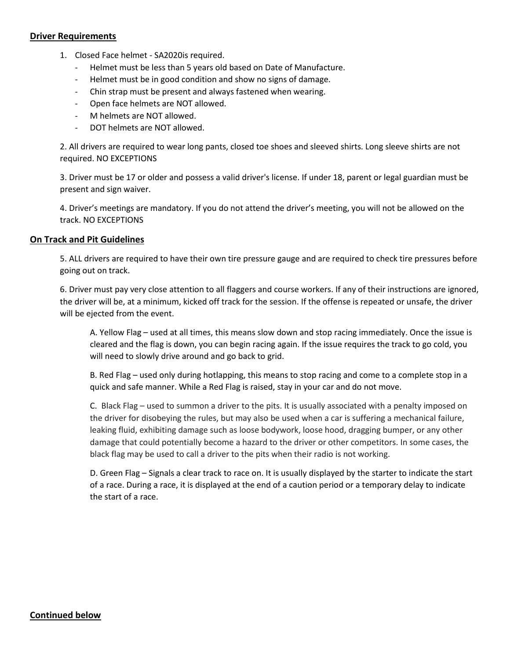### **Driver Requirements**

- 1. Closed Face helmet SA2020is required.
	- Helmet must be less than 5 years old based on Date of Manufacture.
	- Helmet must be in good condition and show no signs of damage.
	- Chin strap must be present and always fastened when wearing.
	- Open face helmets are NOT allowed.
	- M helmets are NOT allowed.
	- DOT helmets are NOT allowed.

2. All drivers are required to wear long pants, closed toe shoes and sleeved shirts. Long sleeve shirts are not required. NO EXCEPTIONS

3. Driver must be 17 or older and possess a valid driver's license. If under 18, parent or legal guardian must be present and sign waiver.

4. Driver's meetings are mandatory. If you do not attend the driver's meeting, you will not be allowed on the track. NO EXCEPTIONS

### **On Track and Pit Guidelines**

5. ALL drivers are required to have their own tire pressure gauge and are required to check tire pressures before going out on track.

6. Driver must pay very close attention to all flaggers and course workers. If any of their instructions are ignored, the driver will be, at a minimum, kicked off track for the session. If the offense is repeated or unsafe, the driver will be ejected from the event.

A. Yellow Flag – used at all times, this means slow down and stop racing immediately. Once the issue is cleared and the flag is down, you can begin racing again. If the issue requires the track to go cold, you will need to slowly drive around and go back to grid.

B. Red Flag – used only during hotlapping, this means to stop racing and come to a complete stop in a quick and safe manner. While a Red Flag is raised, stay in your car and do not move.

C. Black Flag – used to summon a driver to the pits. It is usually associated with a penalty imposed on the driver for disobeying the rules, but may also be used when a car is suffering a mechanical failure, leaking fluid, exhibiting damage such as loose bodywork, loose hood, dragging bumper, or any other damage that could potentially become a hazard to the driver or other competitors. In some cases, the black flag may be used to call a driver to the pits when their radio is not working.

D. Green Flag – Signals a clear track to race on. It is usually displayed by the starter to indicate the start of a race. During a race, it is displayed at the end of a caution period or a temporary delay to indicate the start of a race.

# **Continued below**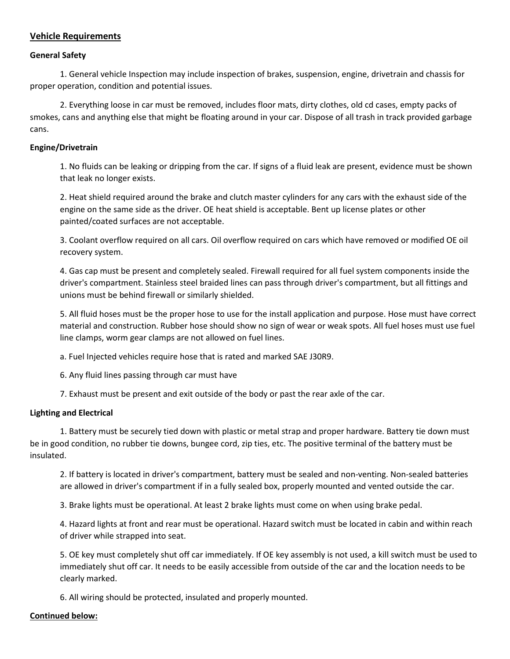# **Vehicle Requirements**

### **General Safety**

1. General vehicle Inspection may include inspection of brakes, suspension, engine, drivetrain and chassis for proper operation, condition and potential issues.

2. Everything loose in car must be removed, includes floor mats, dirty clothes, old cd cases, empty packs of smokes, cans and anything else that might be floating around in your car. Dispose of all trash in track provided garbage cans.

### **Engine/Drivetrain**

1. No fluids can be leaking or dripping from the car. If signs of a fluid leak are present, evidence must be shown that leak no longer exists.

2. Heat shield required around the brake and clutch master cylinders for any cars with the exhaust side of the engine on the same side as the driver. OE heat shield is acceptable. Bent up license plates or other painted/coated surfaces are not acceptable.

3. Coolant overflow required on all cars. Oil overflow required on cars which have removed or modified OE oil recovery system.

4. Gas cap must be present and completely sealed. Firewall required for all fuel system components inside the driver's compartment. Stainless steel braided lines can pass through driver's compartment, but all fittings and unions must be behind firewall or similarly shielded.

5. All fluid hoses must be the proper hose to use for the install application and purpose. Hose must have correct material and construction. Rubber hose should show no sign of wear or weak spots. All fuel hoses must use fuel line clamps, worm gear clamps are not allowed on fuel lines.

a. Fuel Injected vehicles require hose that is rated and marked SAE J30R9.

6. Any fluid lines passing through car must have

7. Exhaust must be present and exit outside of the body or past the rear axle of the car.

### **Lighting and Electrical**

1. Battery must be securely tied down with plastic or metal strap and proper hardware. Battery tie down must be in good condition, no rubber tie downs, bungee cord, zip ties, etc. The positive terminal of the battery must be insulated.

2. If battery is located in driver's compartment, battery must be sealed and non-venting. Non-sealed batteries are allowed in driver's compartment if in a fully sealed box, properly mounted and vented outside the car.

3. Brake lights must be operational. At least 2 brake lights must come on when using brake pedal.

4. Hazard lights at front and rear must be operational. Hazard switch must be located in cabin and within reach of driver while strapped into seat.

5. OE key must completely shut off car immediately. If OE key assembly is not used, a kill switch must be used to immediately shut off car. It needs to be easily accessible from outside of the car and the location needs to be clearly marked.

6. All wiring should be protected, insulated and properly mounted.

### **Continued below:**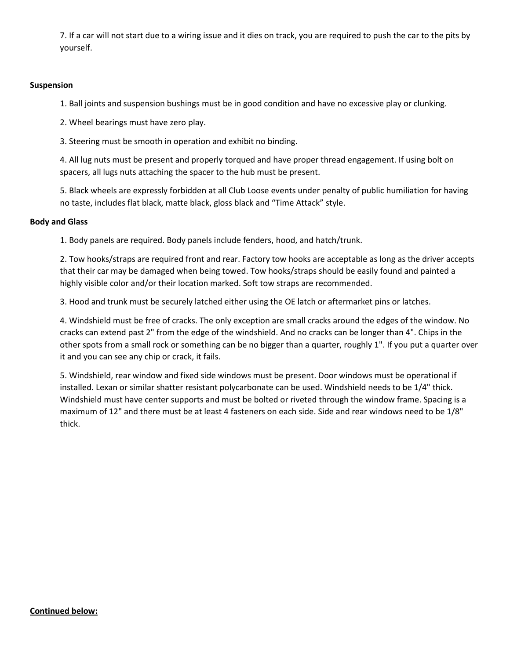7. If a car will not start due to a wiring issue and it dies on track, you are required to push the car to the pits by yourself.

#### **Suspension**

1. Ball joints and suspension bushings must be in good condition and have no excessive play or clunking.

2. Wheel bearings must have zero play.

3. Steering must be smooth in operation and exhibit no binding.

4. All lug nuts must be present and properly torqued and have proper thread engagement. If using bolt on spacers, all lugs nuts attaching the spacer to the hub must be present.

5. Black wheels are expressly forbidden at all Club Loose events under penalty of public humiliation for having no taste, includes flat black, matte black, gloss black and "Time Attack" style.

#### **Body and Glass**

1. Body panels are required. Body panels include fenders, hood, and hatch/trunk.

2. Tow hooks/straps are required front and rear. Factory tow hooks are acceptable as long as the driver accepts that their car may be damaged when being towed. Tow hooks/straps should be easily found and painted a highly visible color and/or their location marked. Soft tow straps are recommended.

3. Hood and trunk must be securely latched either using the OE latch or aftermarket pins or latches.

4. Windshield must be free of cracks. The only exception are small cracks around the edges of the window. No cracks can extend past 2" from the edge of the windshield. And no cracks can be longer than 4". Chips in the other spots from a small rock or something can be no bigger than a quarter, roughly 1". If you put a quarter over it and you can see any chip or crack, it fails.

5. Windshield, rear window and fixed side windows must be present. Door windows must be operational if installed. Lexan or similar shatter resistant polycarbonate can be used. Windshield needs to be 1/4" thick. Windshield must have center supports and must be bolted or riveted through the window frame. Spacing is a maximum of 12" and there must be at least 4 fasteners on each side. Side and rear windows need to be 1/8" thick.